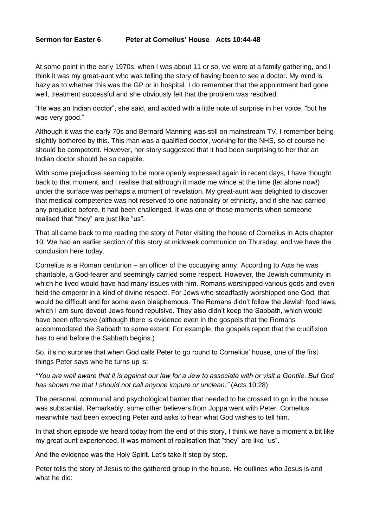## **Sermon for Easter 6 Peter at Cornelius' House Acts 10:44-48**

At some point in the early 1970s, when I was about 11 or so, we were at a family gathering, and I think it was my great-aunt who was telling the story of having been to see a doctor. My mind is hazy as to whether this was the GP or in hospital. I do remember that the appointment had gone well, treatment successful and she obviously felt that the problem was resolved.

"He was an Indian doctor", she said, and added with a little note of surprise in her voice, "but he was very good."

Although it was the early 70s and Bernard Manning was still on mainstream TV, I remember being slightly bothered by this. This man was a qualified doctor, working for the NHS, so of course he should be competent. However, her story suggested that it had been surprising to her that an Indian doctor should be so capable.

With some prejudices seeming to be more openly expressed again in recent days, I have thought back to that moment, and I realise that although it made me wince at the time (let alone now!) under the surface was perhaps a moment of revelation. My great-aunt was delighted to discover that medical competence was not reserved to one nationality or ethnicity, and if she had carried any prejudice before, it had been challenged. It was one of those moments when someone realised that "they" are just like "us".

That all came back to me reading the story of Peter visiting the house of Cornelius in Acts chapter 10. We had an earlier section of this story at midweek communion on Thursday, and we have the conclusion here today.

Cornelius is a Roman centurion – an officer of the occupying army. According to Acts he was charitable, a God-fearer and seemingly carried some respect. However, the Jewish community in which he lived would have had many issues with him. Romans worshipped various gods and even held the emperor in a kind of divine respect. For Jews who steadfastly worshipped one God, that would be difficult and for some even blasphemous. The Romans didn't follow the Jewish food laws, which I am sure devout Jews found repulsive. They also didn't keep the Sabbath, which would have been offensive (although there is evidence even in the gospels that the Romans accommodated the Sabbath to some extent. For example, the gospels report that the crucifixion has to end before the Sabbath begins.)

So, it's no surprise that when God calls Peter to go round to Cornelius' house, one of the first things Peter says whe he turns up is:

## *"You are well aware that it is against our law for a Jew to associate with or visit a Gentile. But God has shown me that I should not call anyone impure or unclean."* (Acts 10:28)

The personal, communal and psychological barrier that needed to be crossed to go in the house was substantial. Remarkably, some other believers from Joppa went with Peter. Cornelius meanwhile had been expecting Peter and asks to hear what God wishes to tell him.

In that short episode we heard today from the end of this story, I think we have a moment a bit like my great aunt experienced. It was moment of realisation that "they" are like "us".

And the evidence was the Holy Spirit. Let's take it step by step.

Peter tells the story of Jesus to the gathered group in the house. He outlines who Jesus is and what he did: